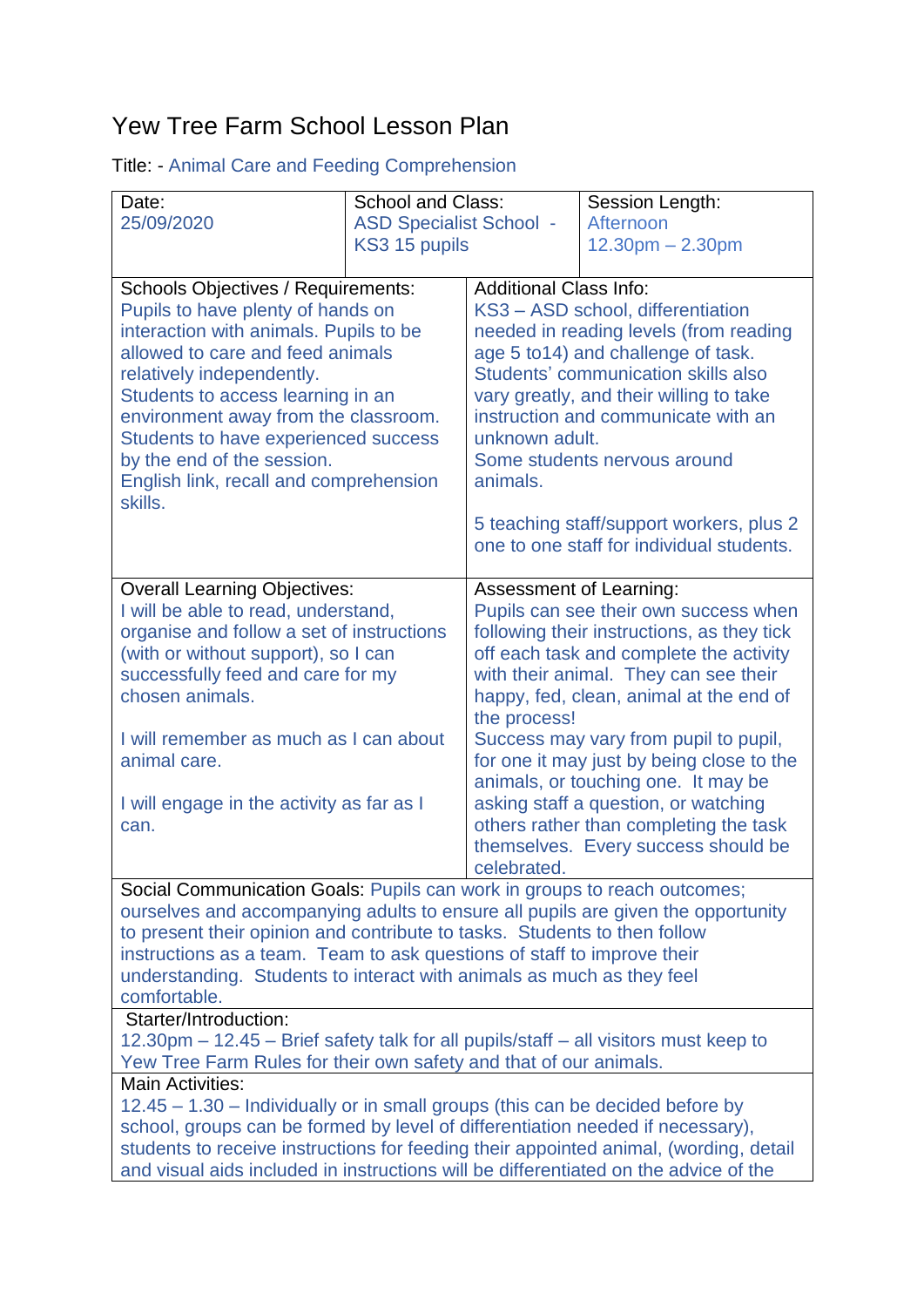## Yew Tree Farm School Lesson Plan

|  |  | <b>Title: - Animal Care and Feeding Comprehension</b> |
|--|--|-------------------------------------------------------|
|  |  |                                                       |

| Date:                                                                                                                                                                         | <b>School and Class:</b>       |                                                                                    | Session Length:                           |  |  |  |
|-------------------------------------------------------------------------------------------------------------------------------------------------------------------------------|--------------------------------|------------------------------------------------------------------------------------|-------------------------------------------|--|--|--|
| 25/09/2020                                                                                                                                                                    | <b>ASD Specialist School -</b> |                                                                                    | Afternoon                                 |  |  |  |
|                                                                                                                                                                               | KS3 15 pupils                  |                                                                                    | $12.30pm - 2.30pm$                        |  |  |  |
|                                                                                                                                                                               |                                |                                                                                    |                                           |  |  |  |
| <b>Schools Objectives / Requirements:</b>                                                                                                                                     |                                | <b>Additional Class Info:</b>                                                      |                                           |  |  |  |
| Pupils to have plenty of hands on<br>interaction with animals. Pupils to be                                                                                                   |                                | KS3 - ASD school, differentiation<br>needed in reading levels (from reading        |                                           |  |  |  |
| allowed to care and feed animals                                                                                                                                              |                                | age 5 to 14) and challenge of task.                                                |                                           |  |  |  |
| relatively independently.                                                                                                                                                     |                                | Students' communication skills also                                                |                                           |  |  |  |
| Students to access learning in an                                                                                                                                             |                                | vary greatly, and their willing to take                                            |                                           |  |  |  |
| environment away from the classroom.                                                                                                                                          |                                | instruction and communicate with an                                                |                                           |  |  |  |
| Students to have experienced success                                                                                                                                          |                                | unknown adult.                                                                     |                                           |  |  |  |
| by the end of the session.                                                                                                                                                    |                                | Some students nervous around                                                       |                                           |  |  |  |
| English link, recall and comprehension                                                                                                                                        |                                | animals.                                                                           |                                           |  |  |  |
| skills.                                                                                                                                                                       |                                |                                                                                    |                                           |  |  |  |
|                                                                                                                                                                               |                                |                                                                                    | 5 teaching staff/support workers, plus 2  |  |  |  |
|                                                                                                                                                                               |                                |                                                                                    | one to one staff for individual students. |  |  |  |
| <b>Overall Learning Objectives:</b>                                                                                                                                           |                                | <b>Assessment of Learning:</b>                                                     |                                           |  |  |  |
| I will be able to read, understand,                                                                                                                                           |                                | Pupils can see their own success when                                              |                                           |  |  |  |
| organise and follow a set of instructions                                                                                                                                     |                                | following their instructions, as they tick                                         |                                           |  |  |  |
| (with or without support), so I can                                                                                                                                           |                                | off each task and complete the activity                                            |                                           |  |  |  |
| successfully feed and care for my                                                                                                                                             |                                | with their animal. They can see their                                              |                                           |  |  |  |
| chosen animals.                                                                                                                                                               |                                |                                                                                    | happy, fed, clean, animal at the end of   |  |  |  |
|                                                                                                                                                                               |                                | the process!                                                                       |                                           |  |  |  |
| I will remember as much as I can about<br>animal care.                                                                                                                        |                                | Success may vary from pupil to pupil,<br>for one it may just by being close to the |                                           |  |  |  |
|                                                                                                                                                                               |                                | animals, or touching one. It may be                                                |                                           |  |  |  |
| I will engage in the activity as far as I                                                                                                                                     |                                | asking staff a question, or watching                                               |                                           |  |  |  |
| can.                                                                                                                                                                          |                                | others rather than completing the task                                             |                                           |  |  |  |
|                                                                                                                                                                               |                                |                                                                                    | themselves. Every success should be       |  |  |  |
|                                                                                                                                                                               |                                | celebrated.                                                                        |                                           |  |  |  |
| Social Communication Goals: Pupils can work in groups to reach outcomes;                                                                                                      |                                |                                                                                    |                                           |  |  |  |
| ourselves and accompanying adults to ensure all pupils are given the opportunity                                                                                              |                                |                                                                                    |                                           |  |  |  |
| to present their opinion and contribute to tasks. Students to then follow                                                                                                     |                                |                                                                                    |                                           |  |  |  |
| instructions as a team. Team to ask questions of staff to improve their<br>understanding. Students to interact with animals as much as they feel                              |                                |                                                                                    |                                           |  |  |  |
| comfortable.                                                                                                                                                                  |                                |                                                                                    |                                           |  |  |  |
| Starter/Introduction:                                                                                                                                                         |                                |                                                                                    |                                           |  |  |  |
| 12.30pm – 12.45 – Brief safety talk for all pupils/staff – all visitors must keep to                                                                                          |                                |                                                                                    |                                           |  |  |  |
| Yew Tree Farm Rules for their own safety and that of our animals.                                                                                                             |                                |                                                                                    |                                           |  |  |  |
| <b>Main Activities:</b>                                                                                                                                                       |                                |                                                                                    |                                           |  |  |  |
| 12.45 - 1.30 - Individually or in small groups (this can be decided before by                                                                                                 |                                |                                                                                    |                                           |  |  |  |
| school, groups can be formed by level of differentiation needed if necessary),                                                                                                |                                |                                                                                    |                                           |  |  |  |
| students to receive instructions for feeding their appointed animal, (wording, detail<br>and visual aids included in instructions will be differentiated on the advice of the |                                |                                                                                    |                                           |  |  |  |
|                                                                                                                                                                               |                                |                                                                                    |                                           |  |  |  |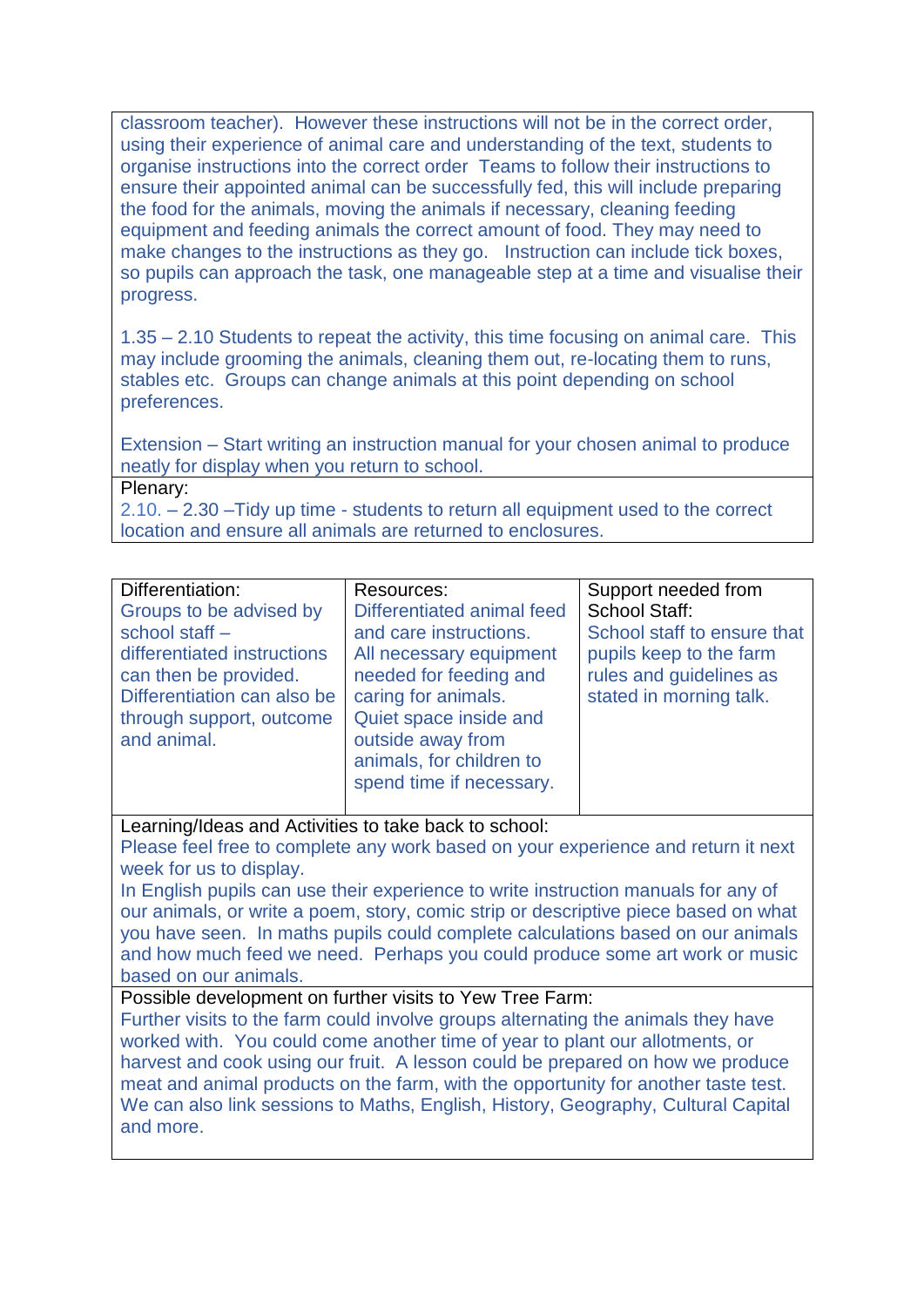classroom teacher). However these instructions will not be in the correct order, using their experience of animal care and understanding of the text, students to organise instructions into the correct order Teams to follow their instructions to ensure their appointed animal can be successfully fed, this will include preparing the food for the animals, moving the animals if necessary, cleaning feeding equipment and feeding animals the correct amount of food. They may need to make changes to the instructions as they go. Instruction can include tick boxes, so pupils can approach the task, one manageable step at a time and visualise their progress.

1.35 – 2.10 Students to repeat the activity, this time focusing on animal care. This may include grooming the animals, cleaning them out, re-locating them to runs, stables etc. Groups can change animals at this point depending on school preferences.

Extension – Start writing an instruction manual for your chosen animal to produce neatly for display when you return to school.

Plenary:

2.10. – 2.30 –Tidy up time - students to return all equipment used to the correct location and ensure all animals are returned to enclosures.

| Differentiation:            | Resources:                 | Support needed from         |
|-----------------------------|----------------------------|-----------------------------|
| Groups to be advised by     | Differentiated animal feed | <b>School Staff:</b>        |
| school staff -              | and care instructions.     | School staff to ensure that |
| differentiated instructions | All necessary equipment    | pupils keep to the farm     |
| can then be provided.       | needed for feeding and     | rules and guidelines as     |
| Differentiation can also be | caring for animals.        | stated in morning talk.     |
| through support, outcome    | Quiet space inside and     |                             |
| and animal.                 | outside away from          |                             |
|                             | animals, for children to   |                             |
|                             | spend time if necessary.   |                             |
|                             |                            |                             |

Learning/Ideas and Activities to take back to school:

Please feel free to complete any work based on your experience and return it next week for us to display.

In English pupils can use their experience to write instruction manuals for any of our animals, or write a poem, story, comic strip or descriptive piece based on what you have seen. In maths pupils could complete calculations based on our animals and how much feed we need. Perhaps you could produce some art work or music based on our animals.

Possible development on further visits to Yew Tree Farm:

Further visits to the farm could involve groups alternating the animals they have worked with. You could come another time of year to plant our allotments, or harvest and cook using our fruit. A lesson could be prepared on how we produce meat and animal products on the farm, with the opportunity for another taste test. We can also link sessions to Maths, English, History, Geography, Cultural Capital and more.